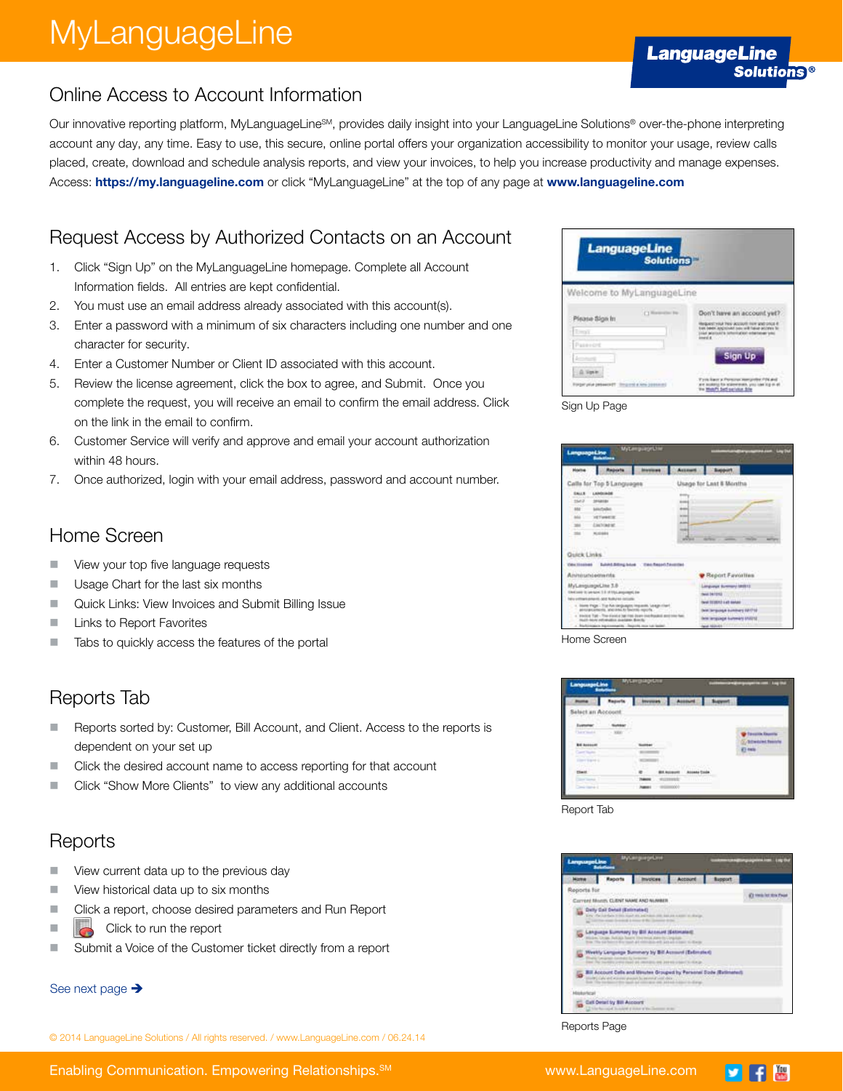# MyLanguageLine

#### Online Access to Account Information

Our innovative reporting platform, MyLanguageLineSM, provides daily insight into your LanguageLine Solutions® over-the-phone interpreting account any day, any time. Easy to use, this secure, online portal offers your organization accessibility to monitor your usage, review calls placed, create, download and schedule analysis reports, and view your invoices, to help you increase productivity and manage expenses. Access: https://my.languageline.com or click "MyLanguageLine" at the top of any page at www.languageline.com

### Request Access by Authorized Contacts on an Account

- 1. Click "Sign Up" on the MyLanguageLine homepage. Complete all Account Information fields. All entries are kept confidential.
- 2. You must use an email address already associated with this account(s).
- 3. Enter a password with a minimum of six characters including one number and one character for security.
- 4. Enter a Customer Number or Client ID associated with this account.
- 5. Review the license agreement, click the box to agree, and Submit. Once you complete the request, you will receive an email to confirm the email address. Click on the link in the email to confirm.
- 6. Customer Service will verify and approve and email your account authorization within 48 hours.
- 7. Once authorized, login with your email address, password and account number.

#### Home Screen

- View your top five language requests
- **Usage Chart for the last six months**
- Quick Links: View Invoices and Submit Billing Issue
- **Links to Report Favorites**
- Tabs to quickly access the features of the portal

#### Reports Tab

- Reports sorted by: Customer, Bill Account, and Client. Access to the reports is dependent on your set up
- Click the desired account name to access reporting for that account
- **Click "Show More Clients"** to view any additional accounts

#### Reports

- View current data up to the previous day
- View historical data up to six months
- Click a report, choose desired parameters and Run Report
- $\Box$  Click to run the report
- Submit a Voice of the Customer ticket directly from a report

#### See next page  $\rightarrow$

© 2014 LanguageLine Solutions / All rights reserved. / www.LanguageLine.com / 06.24.14

| <b>LanguageLine</b><br><b>Solutions</b>                          |                                                                                                                                                                                                     |
|------------------------------------------------------------------|-----------------------------------------------------------------------------------------------------------------------------------------------------------------------------------------------------|
| Welcome to MyLanguageLine                                        |                                                                                                                                                                                                     |
| [7] Horseston Inc.<br>Please Sign In<br><b>Trend</b><br>Passence | Don't have an account yet?<br>QUANT HIGH PAIN JACKSON FIGHT AND DRUG R<br>admission costs will finance activities to<br>joier procedite internation educational year<br>executive<br><b>Sign Up</b> |
| Finger your pessence?                                            | to his scannership. you can sig at a<br>the Mobile Sati service Site                                                                                                                                |



| angsuagaiLine                                          | <b>MyLenguageLine</b><br>ومجاويهما                                                                                                                                                                                                                                                                                                                                                                    |                                                                                 |                                                                                |                                                                                                                                                             |  |
|--------------------------------------------------------|-------------------------------------------------------------------------------------------------------------------------------------------------------------------------------------------------------------------------------------------------------------------------------------------------------------------------------------------------------------------------------------------------------|---------------------------------------------------------------------------------|--------------------------------------------------------------------------------|-------------------------------------------------------------------------------------------------------------------------------------------------------------|--|
| <b>Home</b>                                            | <b>Reports</b>                                                                                                                                                                                                                                                                                                                                                                                        | <b>Marinese</b>                                                                 | Account                                                                        | <b>Support</b>                                                                                                                                              |  |
|                                                        | Callis for Top 5 Languages                                                                                                                                                                                                                                                                                                                                                                            |                                                                                 |                                                                                | Usage for Last & Months                                                                                                                                     |  |
| <b>SALLS</b><br>$-1111$<br>15412<br>MF.<br>Quick Links | LANCHINGS<br>and the format<br><b>SEARCH</b><br><b>Mini-Foolber</b><br>and the company<br><b>VETWARTER</b><br>CHOINER.<br>NAM                                                                                                                                                                                                                                                                         |                                                                                 | <b>Armed</b><br>$-11$<br><b>ALCOHOL:</b><br>$1 - 1 - 1$<br>-<br><b>MARCHER</b> |                                                                                                                                                             |  |
| <b>Cabul Elizabeth</b>                                 |                                                                                                                                                                                                                                                                                                                                                                                                       | <b>Bullet Bring Islan - Two Reset Favorist</b><br>ALCOHOL: ALAN MOJE DAN HELP N |                                                                                |                                                                                                                                                             |  |
| Aniwarioenwrite                                        |                                                                                                                                                                                                                                                                                                                                                                                                       |                                                                                 |                                                                                | <b>Beport Favorites</b>                                                                                                                                     |  |
|                                                        | MyLenguageCine 3.8<br>between to persons this of MyLanguaget, Inc.<br>ally entitled potential good finally as includes<br>1. State Fage - Top AA languages Impacts, Longe clark<br>precipitations, and into the rest supply.<br>kinded Talk - The stand of bat that down combanists and this has<br><b>Hugh-bove Africados publica Scott</b><br>a. Bightimpiece beginnergality. Seconds may but below |                                                                                 |                                                                                | Linguage Summary (2022)<br>wat be rend<br>sal 313533 i.e.l autos<br>MK language business 68/718<br>Intelligencer European ENSETS<br><b>NAME AND ADDRESS</b> |  |



|  | a matemat |                        |
|--|-----------|------------------------|
|  |           |                        |
|  |           |                        |
|  |           | <b>Anti-The Theast</b> |
|  |           |                        |
|  |           |                        |
|  |           |                        |
|  |           |                        |
|  |           |                        |
|  |           |                        |

Report Tab



Reports Page